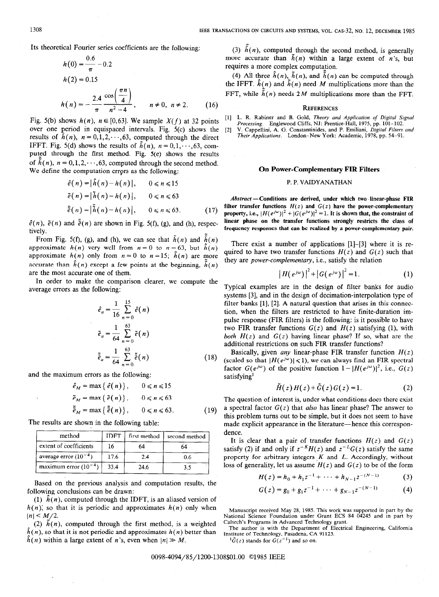$$
h(0) = \frac{0.6}{\pi} - 0.2
$$
  
\n
$$
h(2) = 0.15
$$
  
\n
$$
h(n) = -\frac{2.4}{\pi} \frac{\cos\left(\frac{\pi n}{4}\right)}{n^2 - 4}, \quad n \neq 0, n \neq 2.
$$
 (16)

over one period in equispaced intervals. Fig. 5(c) shows the results of  $\hat{h}(n)$ ,  $n=0,1,2,\dots,63$ , computed through the direct IFFT. Fig. 5(d) shows the results of  $\tilde{h}(n)$ ,  $n = 0, 1, \dots, 63$ , computed through the first method. Fig. 5(e) shows the results of  $\tilde{h}(n)$ ,  $n=0,1,2,\dots,63$ , computed through the second method. We define the computation errors as the following: **On Power-Complementary FIR Filters** 

$$
\begin{aligned}\n\hat{e}(n) &= |\hat{h}(n) - h(n)|, & 0 \le n \le 15 \\
\tilde{e}(n) &= |\tilde{h}(n) - h(n)|, & 0 \le n \le 63 \\
\tilde{\tilde{e}}(n) &= |\tilde{h}(n) - h(n)|, & 0 \le n \le 63.\n\end{aligned}
$$
\n
$$
(17)
$$

 $t(v, t)$  and  $t(v, t)$  are shown in  $\overline{t}$  i.e.,  $t(v, t)$ ,  $t(v, t)$ ,  $t(v, t)$  frequency responses that can be realized by a power-complementary pair.

From Fig. 5(f), (g), and (h), we can see that  $\tilde{h}(n)$  and  $\tilde{h}(n)$ approximate  $h(n)$  very well from  $n = 0$  to  $n = 63$ , but  $\hat{h}(n)$  There exist a number of applications [1]-[3] where it is re-<br>approximate  $h(n)$  very well from  $n = 0$  to  $n = 63$ , but  $\hat{h}(n)$  satisfies the transfer funct approximate  $h(n)$  only from  $n = 0$  to  $n = 15$ ;  $\tilde{h}(n)$  are more accurate than  $\hat{h}(n)$  except a few points at the beginning,  $\tilde{h}(n)$  they are power-complementary, i.e., satisfy the relation are the most accurate one of them.

In order to make the comparison clearer, we compute the average errors as the following: Typical examples are in the design of filter banks for audio

$$
\hat{e}_a = \frac{1}{16} \sum_{n=0}^{15} \hat{e}(n)
$$
  
\n
$$
\tilde{e}_a = \frac{1}{64} \sum_{n=0}^{63} \tilde{e}(n)
$$
  
\n
$$
\tilde{\tilde{e}}_a = \frac{1}{64} \sum_{n=0}^{63} \tilde{\tilde{e}}(n)
$$
\n(18)

and the maximum errors as the following:

$$
\hat{e}_M = \max\left\{\ \hat{e}(n)\right\}, \qquad 0 \le n \le 15
$$
  
\n
$$
\tilde{e}_M = \max\left\{\ \tilde{e}(n)\right\}, \qquad 0 \le n \le 63
$$
  
\n
$$
\tilde{e}_M = \max\left\{\ \tilde{e}(n)\right\}, \qquad 0 \le n \le 63. \tag{19}
$$

The results are shown in the following table:

| method                    | <b>IDFT</b> | first method | second method | dence.<br>It is |
|---------------------------|-------------|--------------|---------------|-----------------|
| extent of coefficients    |             | 64           | 54            | satisfy         |
| average error $(10^{-4})$ | 17.6        | 2.4          | 0.6           | proper          |
| maximum error $(10^{-4})$ | 33.4        | 24.6         | 3.5           | loss of         |

Based on the previous analysis and computation results, the following conclusions can be drawn:

(1)  $\hat{h}(n)$ , computed through the IDFT, is an aliased version of  $h(n)$ ; so that it is periodic and approximates  $h(n)$  only when  $|n|$  <  $M/2$ .

(2)  $\tilde{h}(n)$ , computed through the first method, is a weighted Caltech's Programs in Advanced Technology grant.  $\hat{h}(n)$ , so that it is not periodic and approximates  $h(n)$  better than  $\hat{h}(n)$  within a large extent of n's, even when  $|n| \gg M$ .

Its theoretical Fourier series coefficients are the following: (3)  $\tilde{h}(n)$ , computed through the second method, is generally more accurate than  $\tilde{h}(n)$  within a large extent of n's, but requires a more complex computation.

> (4) All three  $\hat{h}(n)$ ,  $\tilde{h}(n)$ , and  $\tilde{h}(n)$  can be computed through the IFFT.  $\hat{h}(n)$  and  $\tilde{h}(n)$  need M multiplications more than the FFT, while  $\tilde{h}(n)$  needs 2M multiplications more than the FFT.

## **REFERENCES**

Fig. 5(b) shows  $h(n)$ ,  $n \in [0,63]$ . We sample  $X(f)$  at 32 points [1] L. R. Rabiner and B. Gold, Theory and Application of Digital Signal Processing. Englewood Cliffs, NJ: Prentice-Hall, 1975, pp. 101-102.

[2] V. Cappellini, A. G. Constantinides, and P. Emiliani, Digital Filters and Their Applications. London-New York: Academic, 1978, pp. 54-91.

## P.P. VAIDYANATHAN

Abstract - Conditions are derived, under which two linear-phase FIR filter transfer functions  $H(z)$  and  $G(z)$  have the power-complementary property, i.e.,  $|H(e^{j\omega})|^2 + |G(e^{j\omega})|^2 = 1$ . It is shown that, the constraint of  $\hat{e}(n)$ ,  $\tilde{e}(n)$  and  $\tilde{e}(n)$  are shown in Fig. 5(f), (g), and (h), respec- linear phase on the transfer functions strongly restricts the class of

quired to have two transfer functions  $H(z)$  and  $G(z)$  such that

$$
|H(e^{j\omega})|^2 + |G(e^{j\omega})|^2 = 1.
$$
 (1)

systems [3], and in the design of decimation-interpolation type of filter banks [l], [2]. A natural question that arises in this connection, when the filters are restricted to have finite-duration impulse response (FIR filters) is the following: is it possible to have two FIR transfer functions  $G(z)$  and  $H(z)$  satisfying (1), with both  $H(z)$  and  $G(z)$  having linear phase? If so, what are the additional restrictions on such FIR transfer functions?

Basically, given *any* linear-phase FIR transfer function  $H(z)$ (scaled so that  $|H(e^{j\omega})| \leq 1$ ), we can always find an FIR spectral factor  $G(e^{j\omega})$  of the positive function  $1- |H(e^{j\omega})|^2$ , i.e.,  $G(z)$ satisfying<sup>1</sup>

$$
\tilde{H}(z)H(z)+\tilde{G}(z)G(z)=1.
$$
 (2)

The question of interest is, under what conditions does there exist a spectral factor  $G(z)$  that *also* has linear phase? The answer to this problem turns out to be simple, but it does not seem to have made explicit appearance in the literature—hence this correspon-

It is clear that a pair of transfer functions  $H(z)$  and  $G(z)$ satisfy (2) if and only if  $z^{-K}H(z)$  and  $z^{-L}G(z)$  satisfy the same property for arbitrary integers  $K$  and  $L$ . Accordingly, without loss of generality, let us assume  $H(z)$  and  $G(z)$  to be of the form

$$
H(z) = h_0 + h_1 z^{-1} + \dots + h_{N-1} z^{-(N-1)} \tag{3}
$$

$$
G(z) = g_0 + g_1 z^{-1} + \cdots + g_{N-1} z^{-(N-1)} \tag{4}
$$

Manuscript received May 28, 1985. This work was supported in part by the National Science Foundation under Grant ECS 84 04245 and in part by

Institute of Technology, Pasadena, CA 91125.

 ${}^{1}\tilde{G}(z)$  stands for  $G(z^{-1})$  and so on.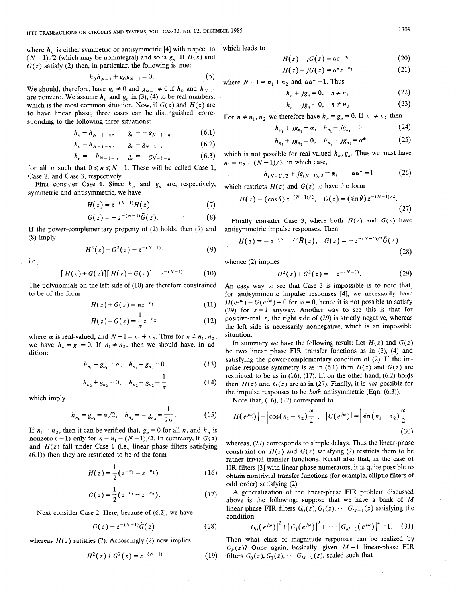where  $h_n$  is either symmetric or antisymmetric [4] with respect to  $(N-1)/2$  (which may be nonintegral) and so is  $g_n$ . If  $H(z)$  and  $G(z)$  satisfy (2) then, in particular, the following is true:

$$
h_0 h_{N-1} + g_0 g_{N-1} = 0. \tag{5}
$$

We should, therefore, have  $g_0 \neq 0$  and  $g_{N-1} \neq 0$  if  $h_0$  and  $h_{N-1}$ are nonzero. We assume  $h_n$  and  $g_n$  in (3), (4) to be real numbers, which is the most common situation. Now, if  $G(z)$  and  $H(z)$  are to have linear phase, three cases can be distinguished, corresponding to the following three situations:

$$
h_n = h_{N-1-n}, \qquad g_n = -g_{N-1-n} \tag{6.1}
$$

$$
h_n = h_{N-1-n}, \qquad g_n = g_{N-1-n} \tag{6.2}
$$

$$
h_n = -h_{N-1-n}, \quad g_n = -g_{N-1-n} \tag{6.3}
$$

for all *n* such that  $0 \le n \le N-1$ . These will be called Case 1, Case 2, and Case 3, respectively.

First consider Case 1. Since  $h_n$  and  $g_n$  are, respectively, symmetric and antisymmetric, we have

$$
H(z) = z^{-(N-1)}\tilde{H}(z)
$$
 (7)

$$
G(z) = -z^{-(N-1)}\tilde{G}(z). \tag{8}
$$

If the power-complementary property of (2) holds, then (7) and (8) imply

$$
H^{2}(z) - G^{2}(z) = z^{-(N-1)}.
$$
 (9)

i.e.,

$$
[H(z) + G(z)][H(z) - G(z)] = z^{-(N-1)}.
$$
 (10)

The polynomials on the left side of (10) are therefore constrained to be of the form

$$
H(z) + G(z) = \alpha z^{-n_1} \tag{11}
$$

$$
H(z) - G(z) = \frac{1}{\alpha} z^{-n_2} \tag{12}
$$

where  $\alpha$  is real-valued, and  $N-1=n_1+n_2$ . Thus for  $n \neq n_1, n_2$ , we have  $h_n = g_n = 0$ . If  $n_1 \neq n_2$ , then we should have, in addition:

$$
h_{n_1} + g_{n_1} = \alpha, \quad h_{n_1} - g_{n_1} = 0 \tag{13}
$$

$$
h_{n_2} + g_{n_2} = 0, \quad h_{n_2} - g_{n_2} = \frac{1}{\alpha} \tag{14}
$$

which imply

$$
h_{n_1} = g_{n_1} = \alpha/2, \quad h_{n_2} = -g_{n_2} = \frac{1}{2\alpha}.
$$
 (15)

If  $n_1 = n_2$ , then it can be verified that,  $g_n = 0$  for all n, and  $h_n$  is nonzero (=1) only for  $n = n_1 = (N-1)/2$ . In summary, if  $G(z)$ and  $H(z)$  fall under Case 1 (i.e., linear phase filters satisfying (6.1)) then they are restricted to be of the form

$$
H(z) = \frac{1}{2} (z^{-n_1} + z^{-n_2})
$$
 (16)

$$
G(z) = \frac{1}{2} (z^{-n_1} - z^{-n_2}).
$$
 (17)

Next consider Case 2. Here, because of (6.2), we have

$$
G(z) = z^{-(N-1)}\tilde{G}(z)
$$
 (18)

whereas  $H(z)$  satisfies (7). Accordingly (2) now implies

$$
H^{2}(z) + G^{2}(z) = z^{-(N-1)}
$$
 (19)

$$
H(z) + jG(z) = \alpha z^{-n_1} \tag{20}
$$

$$
H(z) - jG(z) = \alpha^* z^{-n_2} \tag{21}
$$

where  $N - 1 = n_1 + n_2$  and  $\alpha \alpha^* = 1$ . Thus

which leads to

$$
h_n + jg_n = 0, \quad n \neq n_1 \tag{22}
$$

$$
h_n - jg_n = 0, \quad n \neq n_2 \tag{23}
$$

For  $n \neq n_1$ ,  $n_2$  we therefore have  $h_n = g_n = 0$ . If  $n_1 \neq n_2$  then

$$
h_{n_1} + jg_{n_1} = \alpha, \quad h_{n_1} - jg_{n_1} = 0 \tag{24}
$$

$$
h_{n_2} + jg_{n_2} = 0, \quad h_{n_2} - jg_{n_2} = \alpha^*
$$
 (25)

which is not possible for real valued  $h_n$ ,  $g_n$ . Thus we must have  $n_1 = n_2 = (N - 1)/2$ , in which case,

$$
h_{(N-1)/2} + jg_{(N-1)/2} = \alpha, \qquad \alpha \alpha^* = 1 \tag{26}
$$

which restricts  $H(z)$  and  $G(z)$  to have the form

$$
H(z) = (\cos \theta) z^{-(N-1)/2}, \quad G(z) = (\sin \theta) z^{-(N-1)/2}.
$$

$$
\tag{27}
$$

Finally consider Case 3, where both  $H(z)$  and  $G(z)$  have antisymmetric impulse responses. Then

$$
H(z) = -z^{-(N-1)/2} \tilde{H}(z), \quad G(z) = -z^{-(N-1)/2} \tilde{G}(z)
$$
\n(28)

whence (2) implies

$$
H^{2}(z) + G^{2}(z) = - z^{-(N-1)}.
$$
 (29)

An easy way to see that Case 3 is impossible is to note that, for antisymmetric impulse responses [4], we necessarily have  $H(e^{j\omega}) = G(e^{j\omega}) = 0$  for  $\omega = 0$ , hence it is not possible to satisfy (29) for  $z = 1$  anyway. Another way to see this is that for positive-real z, the right side of (29) is strictly negative, whereas the left side is necessarily nonnegative, which is an impossible situation.

In summary we have the following result: Let  $H(z)$  and  $G(z)$ be two linear phase FIR transfer functions as in (3), (4) and satisfying the power-complementary condition of (2). If the impulse response symmetry is as in  $(6.1)$  then  $H(z)$  and  $G(z)$  are restricted to be as in  $(16)$ ,  $(17)$ . If, on the other hand,  $(6.2)$  holds then  $H(z)$  and  $G(z)$  are as in (27). Finally, it is *not* possible for the impulse responses to be *both* antisymmetric (Eqn.  $(6.3)$ ).

Note that, (16), (17) correspond to

$$
\left|H(e^{j\omega})\right| = \left|\cos\left(n_1 - n_2\right)\frac{\omega}{2}\right|, \quad \left|G(e^{j\omega})\right| = \left|\sin\left(n_1 - n_2\right)\frac{\omega}{2}\right| \tag{30}
$$

whereas, (27) corresponds to simple delays. Thus the linear-phase constraint on  $H(z)$  and  $G(z)$  satisfying (2) restricts them to be rather trivial transfer functions. Recall also that, in the case of IIR filters [3] with linear phase numerators, it is quite possible to obtain nontrivial transfer functions (for example, elliptic filters of odd order) satisfying (2).

A generalization of the linear-phase FIR problem discussed above is the following: suppose that we have a bank of M linear-phase FIR filters  $G_0(z)$ ,  $G_1(z)$ ,  $\cdots$   $G_{M-1}(z)$  satisfying the condition

$$
|G_0(e^{j\omega})|^2 + |G_1(e^{j\omega})|^2 + \cdots |G_{M-1}(e^{j\omega})|^2 = 1. \quad (31)
$$

Then what class of magnitude responses can be realized by  $G_k(z)$ ? Once again, basically, given  $M-1$  linear-phase FIR filters  $G_0(z)$ ,  $G_1(z)$ ,  $\cdots$   $G_{M-2}(z)$ , scaled such that